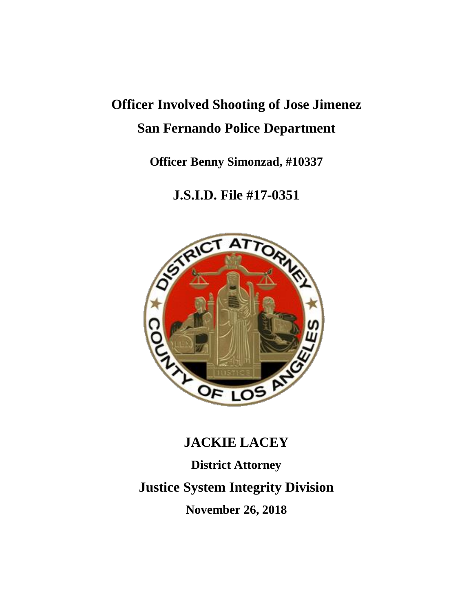# **Officer Involved Shooting of Jose Jimenez San Fernando Police Department**

**Officer Benny Simonzad, #10337**

**J.S.I.D. File #17-0351**



# **JACKIE LACEY**

**District Attorney**

**Justice System Integrity Division**

**November 26, 2018**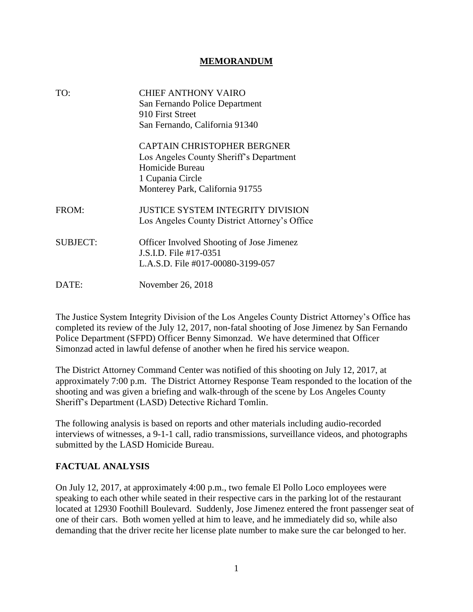#### **MEMORANDUM**

| TO:             | CHIEF ANTHONY VAIRO<br>San Fernando Police Department<br>910 First Street<br>San Fernando, California 91340                                      |
|-----------------|--------------------------------------------------------------------------------------------------------------------------------------------------|
|                 | CAPTAIN CHRISTOPHER BERGNER<br>Los Angeles County Sheriff's Department<br>Homicide Bureau<br>1 Cupania Circle<br>Monterey Park, California 91755 |
| FROM:           | <b>JUSTICE SYSTEM INTEGRITY DIVISION</b><br>Los Angeles County District Attorney's Office                                                        |
| <b>SUBJECT:</b> | Officer Involved Shooting of Jose Jimenez<br>J.S.I.D. File #17-0351<br>L.A.S.D. File #017-00080-3199-057                                         |
| DATE:           | November 26, 2018                                                                                                                                |

The Justice System Integrity Division of the Los Angeles County District Attorney's Office has completed its review of the July 12, 2017, non-fatal shooting of Jose Jimenez by San Fernando Police Department (SFPD) Officer Benny Simonzad. We have determined that Officer Simonzad acted in lawful defense of another when he fired his service weapon.

The District Attorney Command Center was notified of this shooting on July 12, 2017, at approximately 7:00 p.m. The District Attorney Response Team responded to the location of the shooting and was given a briefing and walk-through of the scene by Los Angeles County Sheriff's Department (LASD) Detective Richard Tomlin.

The following analysis is based on reports and other materials including audio-recorded interviews of witnesses, a 9-1-1 call, radio transmissions, surveillance videos, and photographs submitted by the LASD Homicide Bureau.

#### **FACTUAL ANALYSIS**

On July 12, 2017, at approximately 4:00 p.m., two female El Pollo Loco employees were speaking to each other while seated in their respective cars in the parking lot of the restaurant located at 12930 Foothill Boulevard. Suddenly, Jose Jimenez entered the front passenger seat of one of their cars. Both women yelled at him to leave, and he immediately did so, while also demanding that the driver recite her license plate number to make sure the car belonged to her.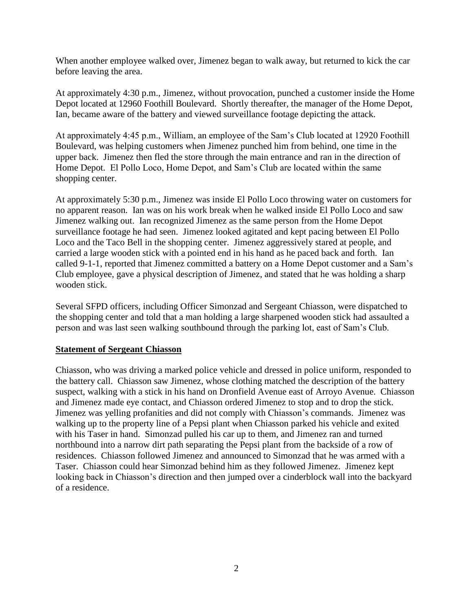When another employee walked over, Jimenez began to walk away, but returned to kick the car before leaving the area.

At approximately 4:30 p.m., Jimenez, without provocation, punched a customer inside the Home Depot located at 12960 Foothill Boulevard. Shortly thereafter, the manager of the Home Depot, Ian, became aware of the battery and viewed surveillance footage depicting the attack.

At approximately 4:45 p.m., William, an employee of the Sam's Club located at 12920 Foothill Boulevard, was helping customers when Jimenez punched him from behind, one time in the upper back. Jimenez then fled the store through the main entrance and ran in the direction of Home Depot. El Pollo Loco, Home Depot, and Sam's Club are located within the same shopping center.

At approximately 5:30 p.m., Jimenez was inside El Pollo Loco throwing water on customers for no apparent reason. Ian was on his work break when he walked inside El Pollo Loco and saw Jimenez walking out. Ian recognized Jimenez as the same person from the Home Depot surveillance footage he had seen. Jimenez looked agitated and kept pacing between El Pollo Loco and the Taco Bell in the shopping center. Jimenez aggressively stared at people, and carried a large wooden stick with a pointed end in his hand as he paced back and forth. Ian called 9-1-1, reported that Jimenez committed a battery on a Home Depot customer and a Sam's Club employee, gave a physical description of Jimenez, and stated that he was holding a sharp wooden stick.

Several SFPD officers, including Officer Simonzad and Sergeant Chiasson, were dispatched to the shopping center and told that a man holding a large sharpened wooden stick had assaulted a person and was last seen walking southbound through the parking lot, east of Sam's Club.

#### **Statement of Sergeant Chiasson**

Chiasson, who was driving a marked police vehicle and dressed in police uniform, responded to the battery call. Chiasson saw Jimenez, whose clothing matched the description of the battery suspect, walking with a stick in his hand on Dronfield Avenue east of Arroyo Avenue. Chiasson and Jimenez made eye contact, and Chiasson ordered Jimenez to stop and to drop the stick. Jimenez was yelling profanities and did not comply with Chiasson's commands. Jimenez was walking up to the property line of a Pepsi plant when Chiasson parked his vehicle and exited with his Taser in hand. Simonzad pulled his car up to them, and Jimenez ran and turned northbound into a narrow dirt path separating the Pepsi plant from the backside of a row of residences. Chiasson followed Jimenez and announced to Simonzad that he was armed with a Taser. Chiasson could hear Simonzad behind him as they followed Jimenez. Jimenez kept looking back in Chiasson's direction and then jumped over a cinderblock wall into the backyard of a residence.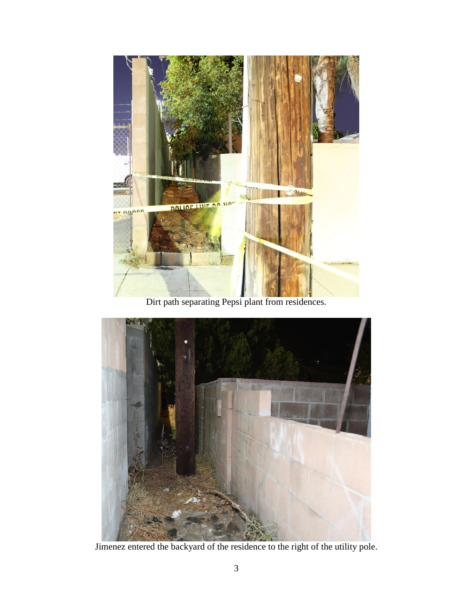

Dirt path separating Pepsi plant from residences.



Jimenez entered the backyard of the residence to the right of the utility pole.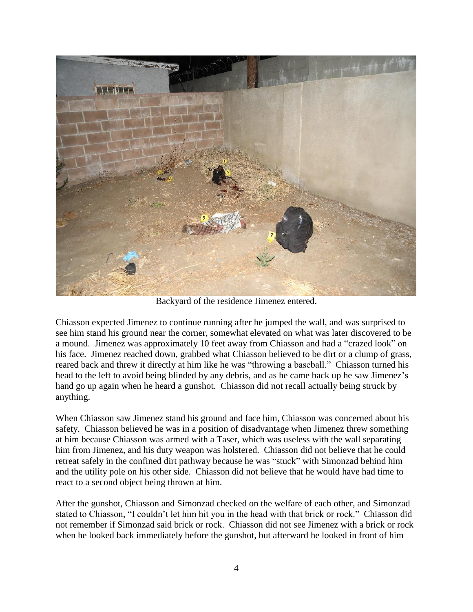

Backyard of the residence Jimenez entered.

Chiasson expected Jimenez to continue running after he jumped the wall, and was surprised to see him stand his ground near the corner, somewhat elevated on what was later discovered to be a mound. Jimenez was approximately 10 feet away from Chiasson and had a "crazed look" on his face. Jimenez reached down, grabbed what Chiasson believed to be dirt or a clump of grass, reared back and threw it directly at him like he was "throwing a baseball." Chiasson turned his head to the left to avoid being blinded by any debris, and as he came back up he saw Jimenez's hand go up again when he heard a gunshot. Chiasson did not recall actually being struck by anything.

When Chiasson saw Jimenez stand his ground and face him, Chiasson was concerned about his safety. Chiasson believed he was in a position of disadvantage when Jimenez threw something at him because Chiasson was armed with a Taser, which was useless with the wall separating him from Jimenez, and his duty weapon was holstered. Chiasson did not believe that he could retreat safely in the confined dirt pathway because he was "stuck" with Simonzad behind him and the utility pole on his other side. Chiasson did not believe that he would have had time to react to a second object being thrown at him.

After the gunshot, Chiasson and Simonzad checked on the welfare of each other, and Simonzad stated to Chiasson, "I couldn't let him hit you in the head with that brick or rock." Chiasson did not remember if Simonzad said brick or rock. Chiasson did not see Jimenez with a brick or rock when he looked back immediately before the gunshot, but afterward he looked in front of him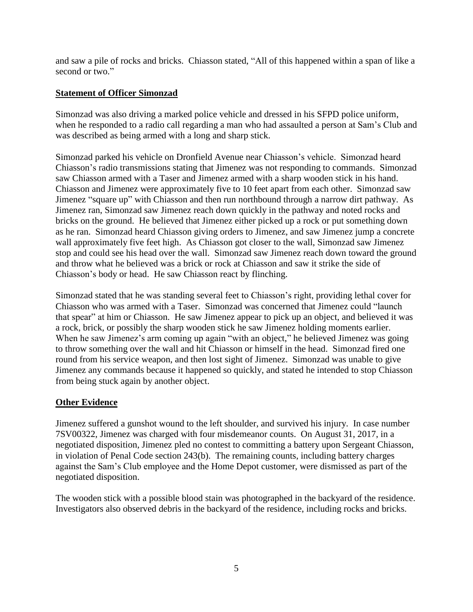and saw a pile of rocks and bricks. Chiasson stated, "All of this happened within a span of like a second or two."

### **Statement of Officer Simonzad**

Simonzad was also driving a marked police vehicle and dressed in his SFPD police uniform, when he responded to a radio call regarding a man who had assaulted a person at Sam's Club and was described as being armed with a long and sharp stick.

Simonzad parked his vehicle on Dronfield Avenue near Chiasson's vehicle. Simonzad heard Chiasson's radio transmissions stating that Jimenez was not responding to commands. Simonzad saw Chiasson armed with a Taser and Jimenez armed with a sharp wooden stick in his hand. Chiasson and Jimenez were approximately five to 10 feet apart from each other. Simonzad saw Jimenez "square up" with Chiasson and then run northbound through a narrow dirt pathway. As Jimenez ran, Simonzad saw Jimenez reach down quickly in the pathway and noted rocks and bricks on the ground. He believed that Jimenez either picked up a rock or put something down as he ran. Simonzad heard Chiasson giving orders to Jimenez, and saw Jimenez jump a concrete wall approximately five feet high. As Chiasson got closer to the wall, Simonzad saw Jimenez stop and could see his head over the wall. Simonzad saw Jimenez reach down toward the ground and throw what he believed was a brick or rock at Chiasson and saw it strike the side of Chiasson's body or head. He saw Chiasson react by flinching.

Simonzad stated that he was standing several feet to Chiasson's right, providing lethal cover for Chiasson who was armed with a Taser. Simonzad was concerned that Jimenez could "launch that spear" at him or Chiasson. He saw Jimenez appear to pick up an object, and believed it was a rock, brick, or possibly the sharp wooden stick he saw Jimenez holding moments earlier. When he saw Jimenez's arm coming up again "with an object," he believed Jimenez was going to throw something over the wall and hit Chiasson or himself in the head. Simonzad fired one round from his service weapon, and then lost sight of Jimenez. Simonzad was unable to give Jimenez any commands because it happened so quickly, and stated he intended to stop Chiasson from being stuck again by another object.

#### **Other Evidence**

Jimenez suffered a gunshot wound to the left shoulder, and survived his injury. In case number 7SV00322, Jimenez was charged with four misdemeanor counts. On August 31, 2017, in a negotiated disposition, Jimenez pled no contest to committing a battery upon Sergeant Chiasson, in violation of Penal Code section 243(b). The remaining counts, including battery charges against the Sam's Club employee and the Home Depot customer, were dismissed as part of the negotiated disposition.

The wooden stick with a possible blood stain was photographed in the backyard of the residence. Investigators also observed debris in the backyard of the residence, including rocks and bricks.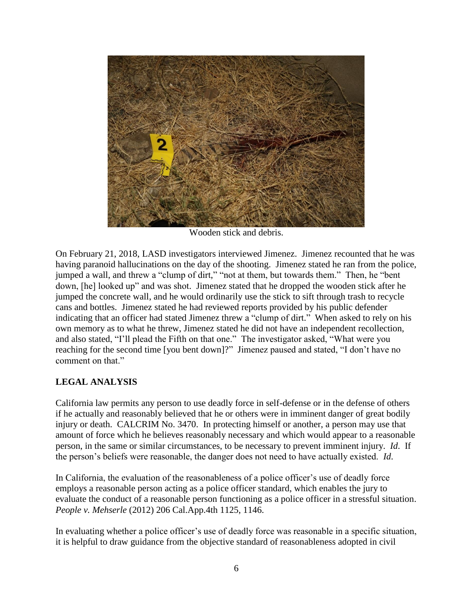

Wooden stick and debris.

On February 21, 2018, LASD investigators interviewed Jimenez. Jimenez recounted that he was having paranoid hallucinations on the day of the shooting. Jimenez stated he ran from the police, jumped a wall, and threw a "clump of dirt," "not at them, but towards them." Then, he "bent down, [he] looked up" and was shot. Jimenez stated that he dropped the wooden stick after he jumped the concrete wall, and he would ordinarily use the stick to sift through trash to recycle cans and bottles. Jimenez stated he had reviewed reports provided by his public defender indicating that an officer had stated Jimenez threw a "clump of dirt." When asked to rely on his own memory as to what he threw, Jimenez stated he did not have an independent recollection, and also stated, "I'll plead the Fifth on that one." The investigator asked, "What were you reaching for the second time [you bent down]?" Jimenez paused and stated, "I don't have no comment on that."

## **LEGAL ANALYSIS**

California law permits any person to use deadly force in self-defense or in the defense of others if he actually and reasonably believed that he or others were in imminent danger of great bodily injury or death. CALCRIM No. 3470. In protecting himself or another, a person may use that amount of force which he believes reasonably necessary and which would appear to a reasonable person, in the same or similar circumstances, to be necessary to prevent imminent injury. *Id*. If the person's beliefs were reasonable, the danger does not need to have actually existed. *Id*.

In California, the evaluation of the reasonableness of a police officer's use of deadly force employs a reasonable person acting as a police officer standard, which enables the jury to evaluate the conduct of a reasonable person functioning as a police officer in a stressful situation. *People v. Mehserle* (2012) 206 Cal.App.4th 1125, 1146.

In evaluating whether a police officer's use of deadly force was reasonable in a specific situation, it is helpful to draw guidance from the objective standard of reasonableness adopted in civil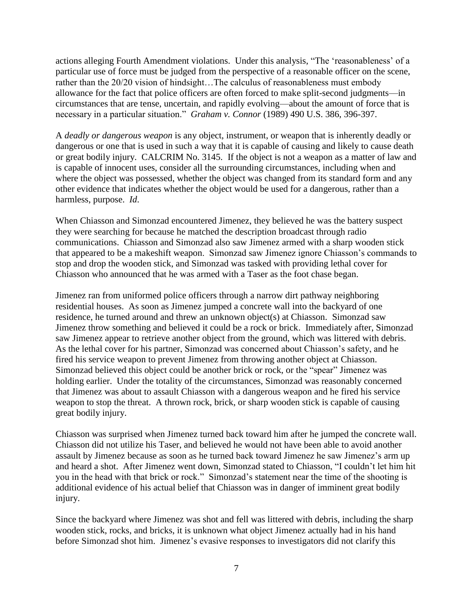actions alleging Fourth Amendment violations. Under this analysis, "The 'reasonableness' of a particular use of force must be judged from the perspective of a reasonable officer on the scene, rather than the 20/20 vision of hindsight…The calculus of reasonableness must embody allowance for the fact that police officers are often forced to make split-second judgments—in circumstances that are tense, uncertain, and rapidly evolving—about the amount of force that is necessary in a particular situation." *Graham v. Connor* (1989) 490 U.S. 386, 396-397.

A *deadly or dangerous weapon* is any object, instrument, or weapon that is inherently deadly or dangerous or one that is used in such a way that it is capable of causing and likely to cause death or great bodily injury. CALCRIM No. 3145. If the object is not a weapon as a matter of law and is capable of innocent uses, consider all the surrounding circumstances, including when and where the object was possessed, whether the object was changed from its standard form and any other evidence that indicates whether the object would be used for a dangerous, rather than a harmless, purpose. *Id*.

When Chiasson and Simonzad encountered Jimenez, they believed he was the battery suspect they were searching for because he matched the description broadcast through radio communications. Chiasson and Simonzad also saw Jimenez armed with a sharp wooden stick that appeared to be a makeshift weapon. Simonzad saw Jimenez ignore Chiasson's commands to stop and drop the wooden stick, and Simonzad was tasked with providing lethal cover for Chiasson who announced that he was armed with a Taser as the foot chase began.

Jimenez ran from uniformed police officers through a narrow dirt pathway neighboring residential houses. As soon as Jimenez jumped a concrete wall into the backyard of one residence, he turned around and threw an unknown object(s) at Chiasson. Simonzad saw Jimenez throw something and believed it could be a rock or brick. Immediately after, Simonzad saw Jimenez appear to retrieve another object from the ground, which was littered with debris. As the lethal cover for his partner, Simonzad was concerned about Chiasson's safety, and he fired his service weapon to prevent Jimenez from throwing another object at Chiasson. Simonzad believed this object could be another brick or rock, or the "spear" Jimenez was holding earlier. Under the totality of the circumstances, Simonzad was reasonably concerned that Jimenez was about to assault Chiasson with a dangerous weapon and he fired his service weapon to stop the threat. A thrown rock, brick, or sharp wooden stick is capable of causing great bodily injury.

Chiasson was surprised when Jimenez turned back toward him after he jumped the concrete wall. Chiasson did not utilize his Taser, and believed he would not have been able to avoid another assault by Jimenez because as soon as he turned back toward Jimenez he saw Jimenez's arm up and heard a shot. After Jimenez went down, Simonzad stated to Chiasson, "I couldn't let him hit you in the head with that brick or rock." Simonzad's statement near the time of the shooting is additional evidence of his actual belief that Chiasson was in danger of imminent great bodily injury.

Since the backyard where Jimenez was shot and fell was littered with debris, including the sharp wooden stick, rocks, and bricks, it is unknown what object Jimenez actually had in his hand before Simonzad shot him. Jimenez's evasive responses to investigators did not clarify this